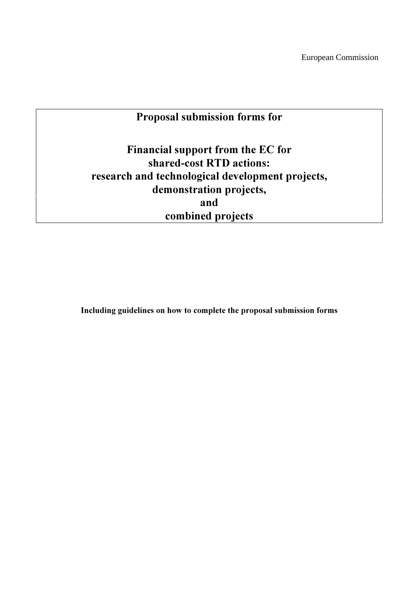# Proposal submission forms for

Financial support from the EC for shared-cost RTD actions: research and technological development projects, demonstration projects, and combined projects

Including guidelines on how to complete the proposal submission forms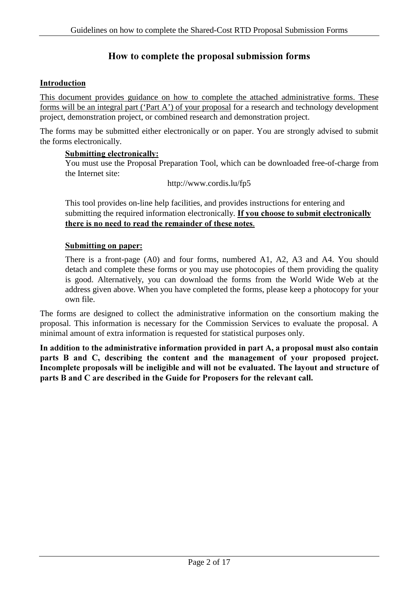## How to complete the proposal submission forms

#### Introduction

This document provides guidance on how to complete the attached administrative forms. These forms will be an integral part ('Part A') of your proposal for a research and technology development project, demonstration project, or combined research and demonstration project.

The forms may be submitted either electronically or on paper. You are strongly advised to submit the forms electronically.

#### Submitting electronically:

You must use the Proposal Preparation Tool, which can be downloaded free-of-charge from the Internet site:

http://www.cordis.lu/fp5

This tool provides on-line help facilities, and provides instructions for entering and submitting the required information electronically. If you choose to submit electronically there is no need to read the remainder of these notes.

#### Submitting on paper:

There is a front-page (A0) and four forms, numbered A1, A2, A3 and A4. You should detach and complete these forms or you may use photocopies of them providing the quality is good. Alternatively, you can download the forms from the World Wide Web at the address given above. When you have completed the forms, please keep a photocopy for your own file.

The forms are designed to collect the administrative information on the consortium making the proposal. This information is necessary for the Commission Services to evaluate the proposal. A minimal amount of extra information is requested for statistical purposes only.

In addition to the administrative information provided in part A, a proposal must also contain parts B and C, describing the content and the management of your proposed project. Incomplete proposals will be ineligible and will not be evaluated. The layout and structure of parts B and C are described in the Guide for Proposers for the relevant call.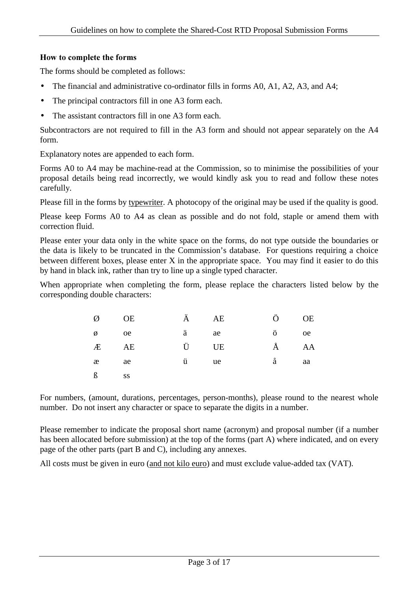## How to complete the forms

The forms should be completed as follows:

- The financial and administrative co-ordinator fills in forms A0, A1, A2, A3, and A4;
- The principal contractors fill in one A3 form each.
- The assistant contractors fill in one A3 form each.

Subcontractors are not required to fill in the A3 form and should not appear separately on the A4 form.

Explanatory notes are appended to each form.

Forms A0 to A4 may be machine-read at the Commission, so to minimise the possibilities of your proposal details being read incorrectly, we would kindly ask you to read and follow these notes carefully.

Please fill in the forms by typewriter. A photocopy of the original may be used if the quality is good.

Please keep Forms A0 to A4 as clean as possible and do not fold, staple or amend them with correction fluid.

Please enter your data only in the white space on the forms, do not type outside the boundaries or the data is likely to be truncated in the Commission's database. For questions requiring a choice between different boxes, please enter X in the appropriate space. You may find it easier to do this by hand in black ink, rather than try to line up a single typed character.

When appropriate when completing the form, please replace the characters listed below by the corresponding double characters:

| Ø                    | <b>OE</b> | Ä AE | Ö         | <b>OE</b> |
|----------------------|-----------|------|-----------|-----------|
| $\emptyset$ oe       |           | ä ae | ö oe      |           |
| Æ                    | AE        | Ü UE | $\rm \AA$ | AA        |
| æ ae                 |           | ü ue | å         | aa        |
| $\boldsymbol{\beta}$ | <b>SS</b> |      |           |           |

For numbers, (amount, durations, percentages, person-months), please round to the nearest whole number. Do not insert any character or space to separate the digits in a number.

Please remember to indicate the proposal short name (acronym) and proposal number (if a number has been allocated before submission) at the top of the forms (part A) where indicated, and on every page of the other parts (part B and C), including any annexes.

All costs must be given in euro (and not kilo euro) and must exclude value-added tax (VAT).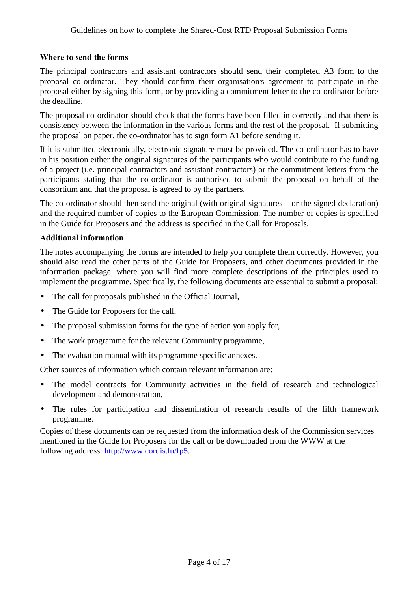## Where to send the forms

The principal contractors and assistant contractors should send their completed A3 form to the proposal co-ordinator. They should confirm their organisation's agreement to participate in the proposal either by signing this form, or by providing a commitment letter to the co-ordinator before the deadline.

The proposal co-ordinator should check that the forms have been filled in correctly and that there is consistency between the information in the various forms and the rest of the proposal. If submitting the proposal on paper, the co-ordinator has to sign form A1 before sending it.

If it is submitted electronically, electronic signature must be provided. The co-ordinator has to have in his position either the original signatures of the participants who would contribute to the funding of a project (i.e. principal contractors and assistant contractors) or the commitment letters from the participants stating that the co-ordinator is authorised to submit the proposal on behalf of the consortium and that the proposal is agreed to by the partners.

The co-ordinator should then send the original (with original signatures – or the signed declaration) and the required number of copies to the European Commission. The number of copies is specified in the Guide for Proposers and the address is specified in the Call for Proposals.

## Additional information

The notes accompanying the forms are intended to help you complete them correctly. However, you should also read the other parts of the Guide for Proposers, and other documents provided in the information package, where you will find more complete descriptions of the principles used to implement the programme. Specifically, the following documents are essential to submit a proposal:

- The call for proposals published in the Official Journal,
- The Guide for Proposers for the call,
- The proposal submission forms for the type of action you apply for,
- The work programme for the relevant Community programme,
- The evaluation manual with its programme specific annexes.

Other sources of information which contain relevant information are:

- The model contracts for Community activities in the field of research and technological development and demonstration,
- The rules for participation and dissemination of research results of the fifth framework programme.

Copies of these documents can be requested from the information desk of the Commission services mentioned in the Guide for Proposers for the call or be downloaded from the WWW at the following address: http://www.cordis.lu/fp5.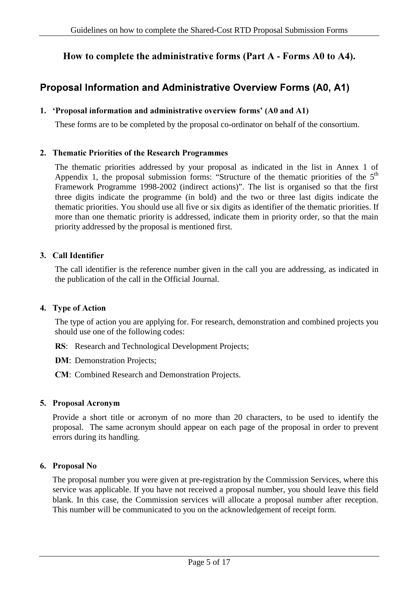## How to complete the administrative forms (Part  $A$  - Forms  $A0$  to  $A4$ ).

## Proposal Information and Administrative Overview Forms (A0, A1)

#### 1. 'Proposal information and administrative overview forms' (A0 and A1)

These forms are to be completed by the proposal co-ordinator on behalf of the consortium.

#### 2. Thematic Priorities of the Research Programmes

The thematic priorities addressed by your proposal as indicated in the list in Annex 1 of Appendix 1, the proposal submission forms: "Structure of the thematic priorities of the  $5<sup>th</sup>$ Framework Programme 1998-2002 (indirect actions)". The list is organised so that the first three digits indicate the programme (in bold) and the two or three last digits indicate the thematic priorities. You should use all five or six digits as identifier of the thematic priorities. If more than one thematic priority is addressed, indicate them in priority order, so that the main priority addressed by the proposal is mentioned first.

#### 3. Call Identifier

The call identifier is the reference number given in the call you are addressing, as indicated in the publication of the call in the Official Journal.

#### 4. Type of Action

The type of action you are applying for. For research, demonstration and combined projects you should use one of the following codes:

- RS: Research and Technological Development Projects;
- DM: Demonstration Projects;
- **CM**: Combined Research and Demonstration Projects.

#### 5. Proposal Acronym

Provide a short title or acronym of no more than 20 characters, to be used to identify the proposal. The same acronym should appear on each page of the proposal in order to prevent errors during its handling.

#### 6. Proposal No

The proposal number you were given at pre-registration by the Commission Services, where this service was applicable. If you have not received a proposal number, you should leave this field blank. In this case, the Commission services will allocate a proposal number after reception. This number will be communicated to you on the acknowledgement of receipt form.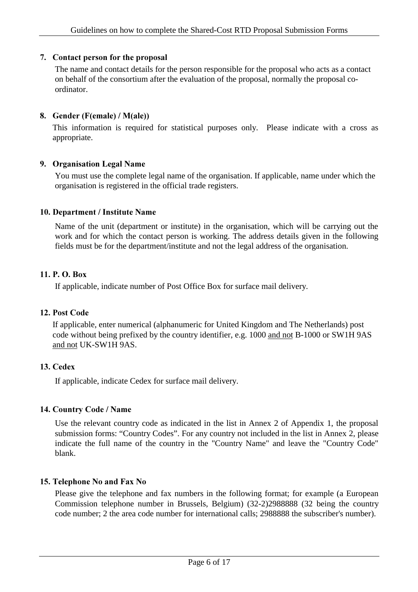## 7. Contact person for the proposal

The name and contact details for the person responsible for the proposal who acts as a contact on behalf of the consortium after the evaluation of the proposal, normally the proposal coordinator.

## 8. Gender (F(emale) /  $M(ale)$ )

This information is required for statistical purposes only. Please indicate with a cross as appropriate.

## 9. Organisation Legal Name

You must use the complete legal name of the organisation. If applicable, name under which the organisation is registered in the official trade registers.

## 10. Department / Institute Name

Name of the unit (department or institute) in the organisation, which will be carrying out the work and for which the contact person is working. The address details given in the following fields must be for the department/institute and not the legal address of the organisation.

## 11. P. O. Box

If applicable, indicate number of Post Office Box for surface mail delivery.

## 12. Post Code

If applicable, enter numerical (alphanumeric for United Kingdom and The Netherlands) post code without being prefixed by the country identifier, e.g. 1000 and not B-1000 or SW1H 9AS and not UK-SW1H 9AS.

## 13. Cedex

If applicable, indicate Cedex for surface mail delivery.

## 14. Country Code / Name

Use the relevant country code as indicated in the list in Annex 2 of Appendix 1, the proposal submission forms: "Country Codes". For any country not included in the list in Annex 2, please indicate the full name of the country in the "Country Name" and leave the "Country Code" blank.

## 15. Telephone No and Fax No

Please give the telephone and fax numbers in the following format; for example (a European Commission telephone number in Brussels, Belgium) (32-2)2988888 (32 being the country code number; 2 the area code number for international calls; 2988888 the subscriber's number).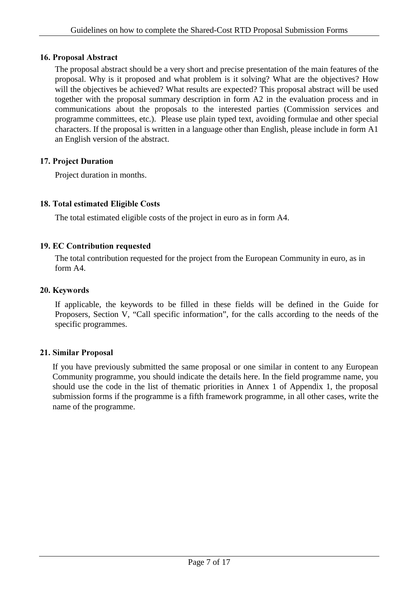## 16. Proposal Abstract

The proposal abstract should be a very short and precise presentation of the main features of the proposal. Why is it proposed and what problem is it solving? What are the objectives? How will the objectives be achieved? What results are expected? This proposal abstract will be used together with the proposal summary description in form A2 in the evaluation process and in communications about the proposals to the interested parties (Commission services and programme committees, etc.). Please use plain typed text, avoiding formulae and other special characters. If the proposal is written in a language other than English, please include in form A1 an English version of the abstract.

## 17. Project Duration

Project duration in months.

## 18. Total estimated Eligible Costs

The total estimated eligible costs of the project in euro as in form A4.

## 19. EC Contribution requested

The total contribution requested for the project from the European Community in euro, as in form A4.

## 20. Keywords

If applicable, the keywords to be filled in these fields will be defined in the Guide for Proposers, Section V, "Call specific information", for the calls according to the needs of the specific programmes.

## 21. Similar Proposal

If you have previously submitted the same proposal or one similar in content to any European Community programme, you should indicate the details here. In the field programme name, you should use the code in the list of thematic priorities in Annex 1 of Appendix 1, the proposal submission forms if the programme is a fifth framework programme, in all other cases, write the name of the programme.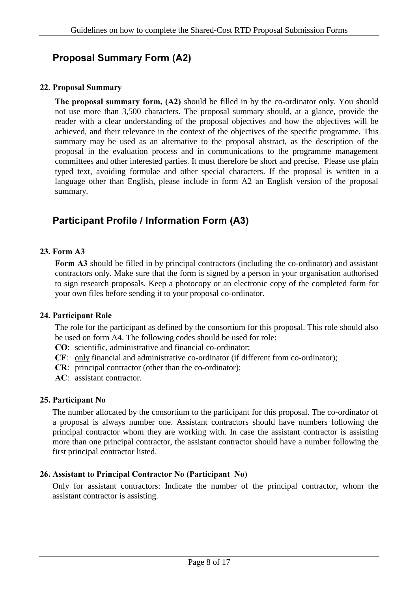# Proposal Summary Form (A2)

## 22. Proposal Summary

The proposal summary form,  $(A2)$  should be filled in by the co-ordinator only. You should not use more than 3,500 characters. The proposal summary should, at a glance, provide the reader with a clear understanding of the proposal objectives and how the objectives will be achieved, and their relevance in the context of the objectives of the specific programme. This summary may be used as an alternative to the proposal abstract, as the description of the proposal in the evaluation process and in communications to the programme management committees and other interested parties. It must therefore be short and precise. Please use plain typed text, avoiding formulae and other special characters. If the proposal is written in a language other than English, please include in form A2 an English version of the proposal summary.

# Participant Profile / Information Form (A3)

## $23.$  Form  $A3$

Form A3 should be filled in by principal contractors (including the co-ordinator) and assistant contractors only. Make sure that the form is signed by a person in your organisation authorised to sign research proposals. Keep a photocopy or an electronic copy of the completed form for your own files before sending it to your proposal co-ordinator.

## 24. Participant Role

The role for the participant as defined by the consortium for this proposal. This role should also be used on form A4. The following codes should be used for role:

- &2: scientific, administrative and financial co-ordinator;
- &): only financial and administrative co-ordinator (if different from co-ordinator);
- **CR**: principal contractor (other than the co-ordinator);
- AC: assistant contractor.

## 25. Participant No

The number allocated by the consortium to the participant for this proposal. The co-ordinator of a proposal is always number one. Assistant contractors should have numbers following the principal contractor whom they are working with. In case the assistant contractor is assisting more than one principal contractor, the assistant contractor should have a number following the first principal contractor listed.

## 26. Assistant to Principal Contractor No (Participant No)

Only for assistant contractors: Indicate the number of the principal contractor, whom the assistant contractor is assisting.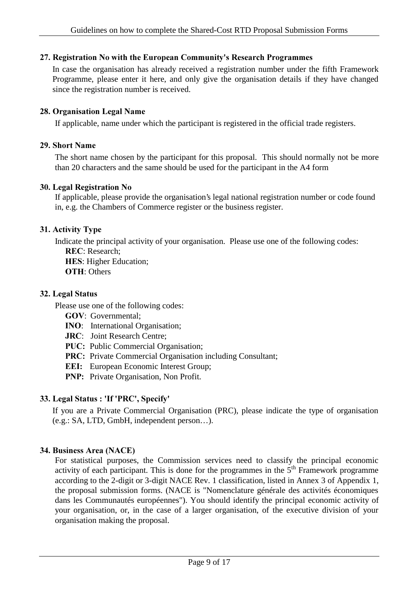## 27. Registration No with the European Community's Research Programmes

In case the organisation has already received a registration number under the fifth Framework Programme, please enter it here, and only give the organisation details if they have changed since the registration number is received.

## 28. Organisation Legal Name

If applicable, name under which the participant is registered in the official trade registers.

## 29. Short Name

The short name chosen by the participant for this proposal. This should normally not be more than 20 characters and the same should be used for the participant in the A4 form

## 30. Legal Registration No

If applicable, please provide the organisation's legal national registration number or code found in, e.g. the Chambers of Commerce register or the business register.

## 31. Activity Type

Indicate the principal activity of your organisation. Please use one of the following codes: REC: Research:

**HES: Higher Education: OTH: Others** 

## 32. Legal Status

Please use one of the following codes:

- GOV: Governmental;
- INO: International Organisation;
- JRC: Joint Research Centre;
- PUC: Public Commercial Organisation;
- PRC: Private Commercial Organisation including Consultant;
- **EEI:** European Economic Interest Group;
- PNP: Private Organisation, Non Profit.

## 33. Legal Status: 'If 'PRC', Specify'

If you are a Private Commercial Organisation (PRC), please indicate the type of organisation (e.g.: SA, LTD, GmbH, independent person…).

## 34. Business Area (NACE)

For statistical purposes, the Commission services need to classify the principal economic activity of each participant. This is done for the programmes in the  $5<sup>th</sup>$  Framework programme according to the 2-digit or 3-digit NACE Rev. 1 classification, listed in Annex 3 of Appendix 1, the proposal submission forms. (NACE is "Nomenclature générale des activités économiques dans les Communautés européennes"). You should identify the principal economic activity of your organisation, or, in the case of a larger organisation, of the executive division of your organisation making the proposal.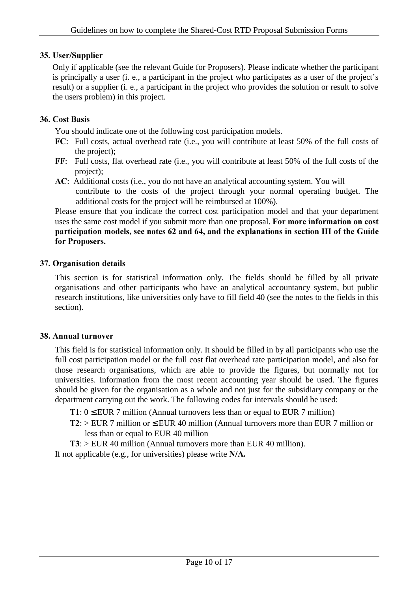## 35. User/Supplier

Only if applicable (see the relevant Guide for Proposers). Please indicate whether the participant is principally a user (i. e., a participant in the project who participates as a user of the project's result) or a supplier (i. e., a participant in the project who provides the solution or result to solve the users problem) in this project.

## 36. Cost Basis

You should indicate one of the following cost participation models.

- FC: Full costs, actual overhead rate (i.e., you will contribute at least 50% of the full costs of the project);
- FF: Full costs, flat overhead rate (i.e., you will contribute at least 50% of the full costs of the project);
- AC: Additional costs (i.e., you do not have an analytical accounting system. You will contribute to the costs of the project through your normal operating budget. The additional costs for the project will be reimbursed at 100%).

Please ensure that you indicate the correct cost participation model and that your department uses the same cost model if you submit more than one proposal. For more information on cost participation models, see notes 62 and 64, and the explanations in section III of the Guide for Proposers.

## 37. Organisation details

This section is for statistical information only. The fields should be filled by all private organisations and other participants who have an analytical accountancy system, but public research institutions, like universities only have to fill field 40 (see the notes to the fields in this section).

## 38. Annual turnover

This field is for statistical information only. It should be filled in by all participants who use the full cost participation model or the full cost flat overhead rate participation model, and also for those research organisations, which are able to provide the figures, but normally not for universities. Information from the most recent accounting year should be used. The figures should be given for the organisation as a whole and not just for the subsidiary company or the department carrying out the work. The following codes for intervals should be used:

- T1:  $0 \leq EUR$  7 million (Annual turnovers less than or equal to EUR 7 million)
- $T2$ : > EUR 7 million or  $\leq$  EUR 40 million (Annual turnovers more than EUR 7 million or less than or equal to EUR 40 million

 $T3$ :  $>$  EUR 40 million (Annual turnovers more than EUR 40 million). If not applicable (e.g., for universities) please write  $N/A$ .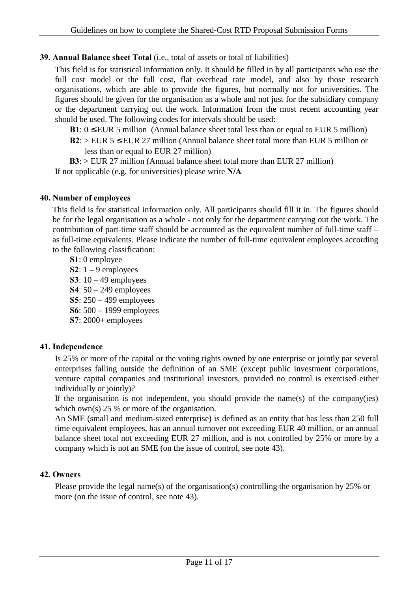## **39. Annual Balance sheet Total** (i.e., total of assets or total of liabilities)

This field is for statistical information only. It should be filled in by all participants who use the full cost model or the full cost, flat overhead rate model, and also by those research organisations, which are able to provide the figures, but normally not for universities. The figures should be given for the organisation as a whole and not just for the subsidiary company or the department carrying out the work. Information from the most recent accounting year should be used. The following codes for intervals should be used:

 $B1: 0 \leq EUR$  5 million (Annual balance sheet total less than or equal to EUR 5 million)  $B2:$  > EUR 5  $\leq$  EUR 27 million (Annual balance sheet total more than EUR 5 million or

less than or equal to EUR 27 million)

 $B3:$  > EUR 27 million (Annual balance sheet total more than EUR 27 million) If not applicable (e.g. for universities) please write  $N/A$ 

#### 40. Number of employees

This field is for statistical information only. All participants should fill it in. The figures should be for the legal organisation as a whole - not only for the department carrying out the work. The contribution of part-time staff should be accounted as the equivalent number of full-time staff – as full-time equivalents. Please indicate the number of full-time equivalent employees according to the following classification:

- S1: 0 employee
- S2:  $1 9$  employees **S3**:  $10 - 49$  employees
- $S4: 50 249$  employees
- 6: 250 499 employees
- 6: 500 1999 employees
- $S7: 2000+$  employees

## 41. Independence

Is 25% or more of the capital or the voting rights owned by one enterprise or jointly par several enterprises falling outside the definition of an SME (except public investment corporations, venture capital companies and institutional investors, provided no control is exercised either individually or jointly)?

If the organisation is not independent, you should provide the name(s) of the company(ies) which own(s) 25 % or more of the organisation.

An SME (small and medium-sized enterprise) is defined as an entity that has less than 250 full time equivalent employees, has an annual turnover not exceeding EUR 40 million, or an annual balance sheet total not exceeding EUR 27 million, and is not controlled by 25% or more by a company which is not an SME (on the issue of control, see note 43).

## 42. Owners

Please provide the legal name(s) of the organisation(s) controlling the organisation by 25% or more (on the issue of control, see note 43).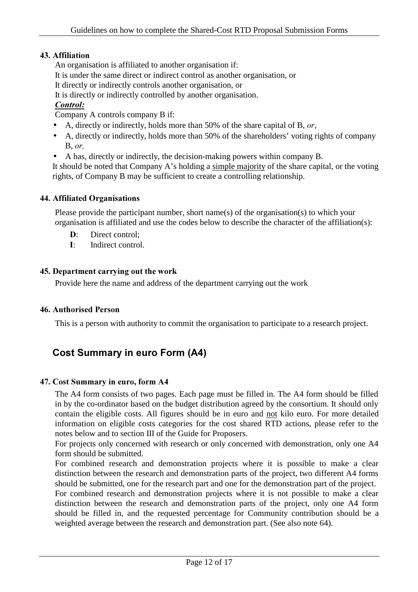## 43. Affiliation

An organisation is affiliated to another organisation if:

It is under the same direct or indirect control as another organisation, or

It directly or indirectly controls another organisation, or

It is directly or indirectly controlled by another organisation.

## $Control:$

Company A controls company B if:

- A, directly or indirectly, holds more than 50% of the share capital of B,  $or$ ,
- A, directly or indirectly, holds more than 50% of the shareholders' voting rights of company B, *RU*
- A has, directly or indirectly, the decision-making powers within company B.

It should be noted that Company A's holding a simple majority of the share capital, or the voting rights, of Company B may be sufficient to create a controlling relationship.

## 44. Affiliated Organisations

Please provide the participant number, short name(s) of the organisation(s) to which your organisation is affiliated and use the codes below to describe the character of the affiliation(s):

- D: Direct control:
- I: Indirect control

## 45. Department carrying out the work

Provide here the name and address of the department carrying out the work

## 46. Authorised Person

This is a person with authority to commit the organisation to participate to a research project.

## Cost Summary in euro Form (A4)

## 47. Cost Summary in euro, form A4

The A4 form consists of two pages. Each page must be filled in. The A4 form should be filled in by the co-ordinator based on the budget distribution agreed by the consortium. It should only contain the eligible costs. All figures should be in euro and not kilo euro. For more detailed information on eligible costs categories for the cost shared RTD actions, please refer to the notes below and to section III of the Guide for Proposers.

For projects only concerned with research or only concerned with demonstration, only one A4 form should be submitted.

For combined research and demonstration projects where it is possible to make a clear distinction between the research and demonstration parts of the project, two different A4 forms should be submitted, one for the research part and one for the demonstration part of the project.

For combined research and demonstration projects where it is not possible to make a clear distinction between the research and demonstration parts of the project, only one A4 form should be filled in, and the requested percentage for Community contribution should be a weighted average between the research and demonstration part. (See also note 64).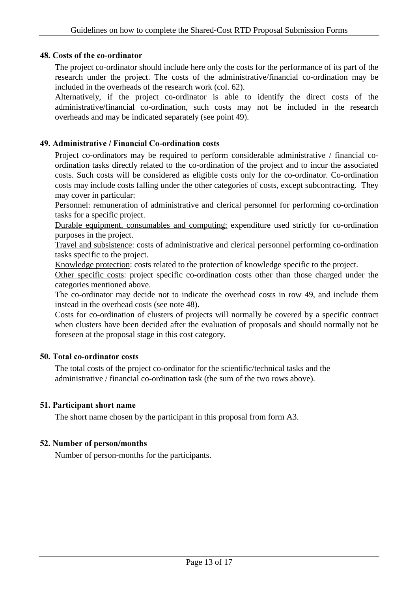#### 48. Costs of the co-ordinator

The project co-ordinator should include here only the costs for the performance of its part of the research under the project. The costs of the administrative/financial co-ordination may be included in the overheads of the research work (col. 62).

Alternatively, if the project co-ordinator is able to identify the direct costs of the administrative/financial co-ordination, such costs may not be included in the research overheads and may be indicated separately (see point 49).

#### 49. Administrative / Financial Co-ordination costs

Project co-ordinators may be required to perform considerable administrative / financial coordination tasks directly related to the co-ordination of the project and to incur the associated costs. Such costs will be considered as eligible costs only for the co-ordinator. Co-ordination costs may include costs falling under the other categories of costs, except subcontracting. They may cover in particular:

Personnel: remuneration of administrative and clerical personnel for performing co-ordination tasks for a specific project.

Durable equipment, consumables and computing: expenditure used strictly for co-ordination purposes in the project.

Travel and subsistence: costs of administrative and clerical personnel performing co-ordination tasks specific to the project.

Knowledge protection: costs related to the protection of knowledge specific to the project.

Other specific costs: project specific co-ordination costs other than those charged under the categories mentioned above.

The co-ordinator may decide not to indicate the overhead costs in row 49, and include them instead in the overhead costs (see note 48).

Costs for co-ordination of clusters of projects will normally be covered by a specific contract when clusters have been decided after the evaluation of proposals and should normally not be foreseen at the proposal stage in this cost category.

## 50. Total co-ordinator costs

The total costs of the project co-ordinator for the scientific/technical tasks and the administrative / financial co-ordination task (the sum of the two rows above).

## 51. Participant short name

The short name chosen by the participant in this proposal from form A3.

## 52. Number of person/months

Number of person-months for the participants.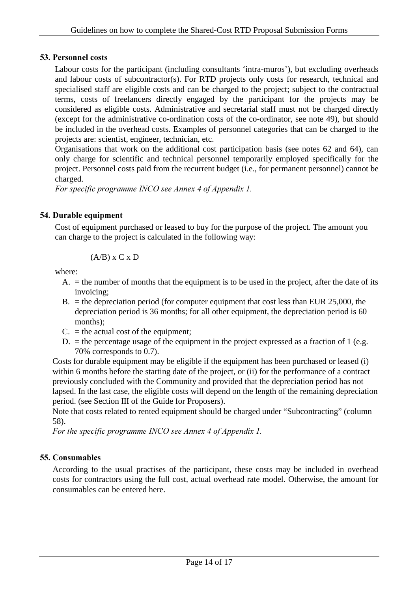## 53. Personnel costs

Labour costs for the participant (including consultants 'intra-muros'), but excluding overheads and labour costs of subcontractor(s). For RTD projects only costs for research, technical and specialised staff are eligible costs and can be charged to the project; subject to the contractual terms, costs of freelancers directly engaged by the participant for the projects may be considered as eligible costs. Administrative and secretarial staff must not be charged directly (except for the administrative co-ordination costs of the co-ordinator, see note 49), but should be included in the overhead costs. Examples of personnel categories that can be charged to the projects are: scientist, engineer, technician, etc.

Organisations that work on the additional cost participation basis (see notes 62 and 64), can only charge for scientific and technical personnel temporarily employed specifically for the project. Personnel costs paid from the recurrent budget (i.e., for permanent personnel) cannot be charged.

*For specific programme INCO see Annex 4 of Appendix 1.* 

## 54. Durable equipment

Cost of equipment purchased or leased to buy for the purpose of the project. The amount you can charge to the project is calculated in the following way:

$$
(A/B) \times C \times D
$$

where:

- $A<sub>l</sub>$  = the number of months that the equipment is to be used in the project, after the date of its invoicing;
- B.  $=$  the depreciation period (for computer equipment that cost less than EUR 25,000, the depreciation period is 36 months; for all other equipment, the depreciation period is 60 months);
- $C<sub>l</sub>$  = the actual cost of the equipment;
- $D<sub>l</sub>$  = the percentage usage of the equipment in the project expressed as a fraction of 1 (e.g. 70% corresponds to 0.7).

Costs for durable equipment may be eligible if the equipment has been purchased or leased (i) within 6 months before the starting date of the project, or (ii) for the performance of a contract previously concluded with the Community and provided that the depreciation period has not lapsed. In the last case, the eligible costs will depend on the length of the remaining depreciation period. (see Section III of the Guide for Proposers).

Note that costs related to rented equipment should be charged under "Subcontracting" (column 58).

For the specific programme INCO see Annex 4 of Appendix 1.

## 55. Consumables

According to the usual practises of the participant, these costs may be included in overhead costs for contractors using the full cost, actual overhead rate model. Otherwise, the amount for consumables can be entered here.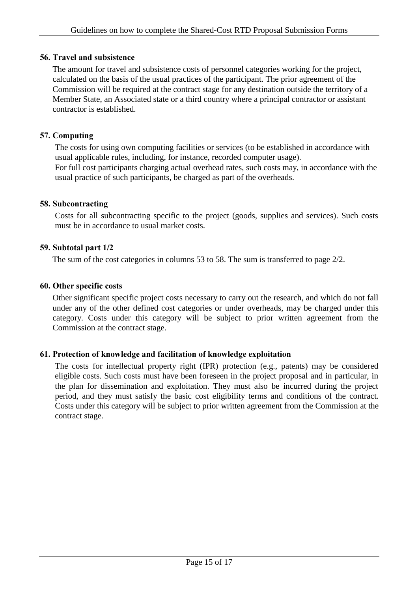## 56. Travel and subsistence

The amount for travel and subsistence costs of personnel categories working for the project, calculated on the basis of the usual practices of the participant. The prior agreement of the Commission will be required at the contract stage for any destination outside the territory of a Member State, an Associated state or a third country where a principal contractor or assistant contractor is established.

## 57. Computing

The costs for using own computing facilities or services (to be established in accordance with usual applicable rules, including, for instance, recorded computer usage).

For full cost participants charging actual overhead rates, such costs may, in accordance with the usual practice of such participants, be charged as part of the overheads.

## 58. Subcontracting

Costs for all subcontracting specific to the project (goods, supplies and services). Such costs must be in accordance to usual market costs.

## 59. Subtotal part 1/2

The sum of the cost categories in columns 53 to 58. The sum is transferred to page 2/2.

## 60. Other specific costs

Other significant specific project costs necessary to carry out the research, and which do not fall under any of the other defined cost categories or under overheads, may be charged under this category. Costs under this category will be subject to prior written agreement from the Commission at the contract stage.

## 61. Protection of knowledge and facilitation of knowledge exploitation

The costs for intellectual property right (IPR) protection (e.g., patents) may be considered eligible costs. Such costs must have been foreseen in the project proposal and in particular, in the plan for dissemination and exploitation. They must also be incurred during the project period, and they must satisfy the basic cost eligibility terms and conditions of the contract. Costs under this category will be subject to prior written agreement from the Commission at the contract stage.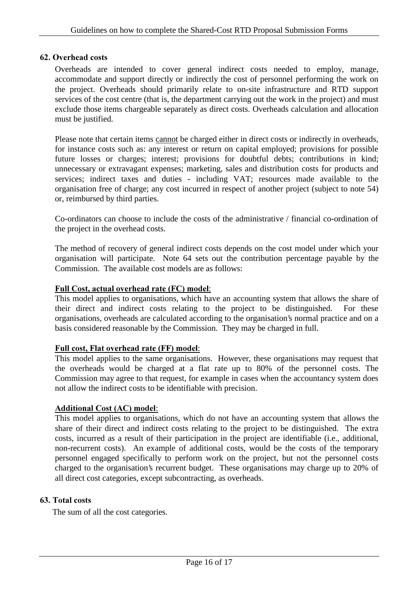## 62. Overhead costs

Overheads are intended to cover general indirect costs needed to employ, manage, accommodate and support directly or indirectly the cost of personnel performing the work on the project. Overheads should primarily relate to on-site infrastructure and RTD support services of the cost centre (that is, the department carrying out the work in the project) and must exclude those items chargeable separately as direct costs. Overheads calculation and allocation must be justified.

Please note that certain items cannot be charged either in direct costs or indirectly in overheads, for instance costs such as: any interest or return on capital employed; provisions for possible future losses or charges; interest; provisions for doubtful debts; contributions in kind; unnecessary or extravagant expenses; marketing, sales and distribution costs for products and services; indirect taxes and duties - including VAT; resources made available to the organisation free of charge; any cost incurred in respect of another project (subject to note 54) or, reimbursed by third parties.

Co-ordinators can choose to include the costs of the administrative / financial co-ordination of the project in the overhead costs.

The method of recovery of general indirect costs depends on the cost model under which your organisation will participate. Note 64 sets out the contribution percentage payable by the Commission. The available cost models are as follows:

#### Full Cost, actual overhead rate (FC) model:

This model applies to organisations, which have an accounting system that allows the share of their direct and indirect costs relating to the project to be distinguished. For these organisations, overheads are calculated according to the organisation's normal practice and on a basis considered reasonable by the Commission. They may be charged in full.

#### Full cost, Flat overhead rate (FF) model:

This model applies to the same organisations. However, these organisations may request that the overheads would be charged at a flat rate up to 80% of the personnel costs. The Commission may agree to that request, for example in cases when the accountancy system does not allow the indirect costs to be identifiable with precision.

#### Additional Cost (AC) model:

This model applies to organisations, which do not have an accounting system that allows the share of their direct and indirect costs relating to the project to be distinguished. The extra costs, incurred as a result of their participation in the project are identifiable (i.e., additional, non-recurrent costs). An example of additional costs, would be the costs of the temporary personnel engaged specifically to perform work on the project, but not the personnel costs charged to the organisation's recurrent budget. These organisations may charge up to 20% of all direct cost categories, except subcontracting, as overheads.

#### 63. Total costs

The sum of all the cost categories.